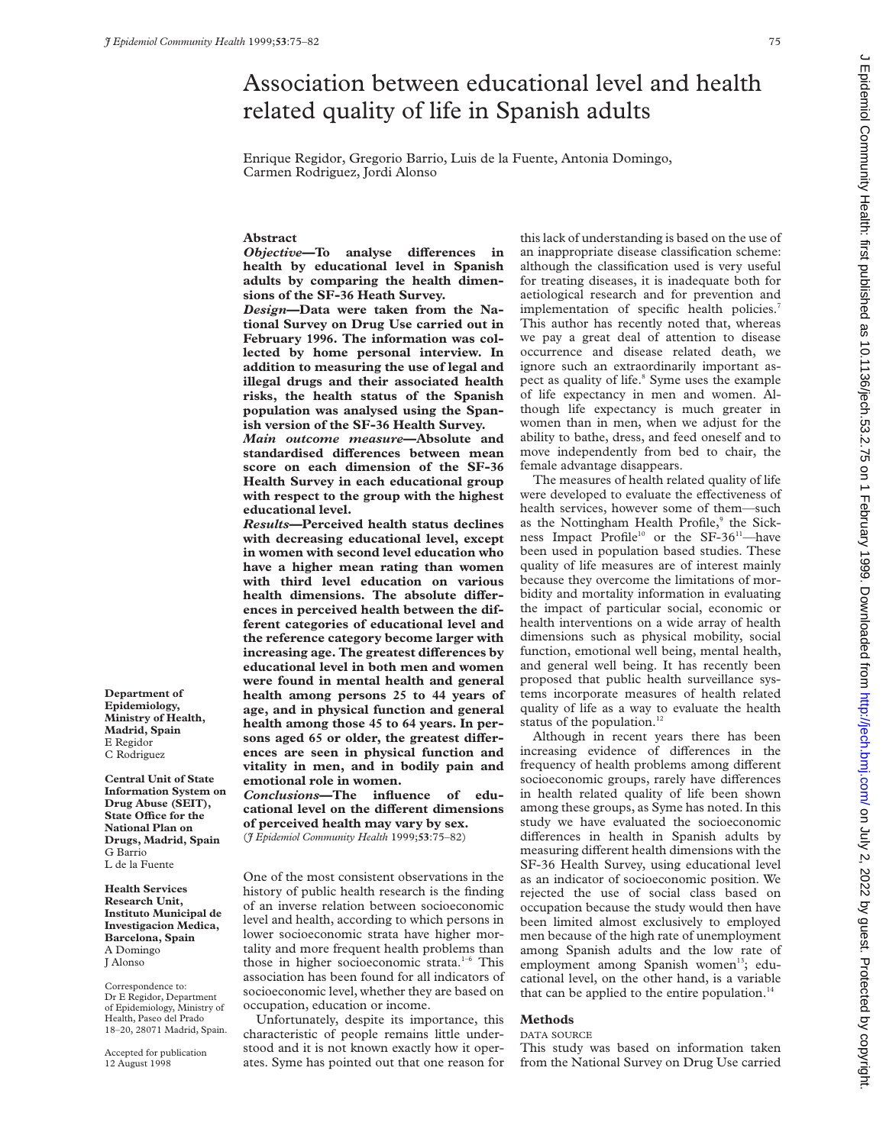$\sim$ 

# on July 2, 2022 by guest. Protected by copyright. <http://jech.bmj.com/> J Epidemiol Community Health: first published as 10.1136/jech.53.2.75 on 1 February 1999. Downloaded from Epidemiol Community Health: first published as 10.1136/jech.53.2.75 on 1 February 1999. Downloaded from http://jech.bmj.com/ on July 2, 2022 by guest. Protected by copyright

# Association between educational level and health related quality of life in Spanish adults

Enrique Regidor, Gregorio Barrio, Luis de la Fuente, Antonia Domingo, Carmen Rodriguez, Jordi Alonso

# **Abstract**

*Objective*—To analyse differences in **health by educational level in Spanish adults by comparing the health dimensions of the SF-36 Heath Survey.**

*Design***—Data were taken from the National Survey on Drug Use carried out in February 1996. The information was collected by home personal interview. In addition to measuring the use of legal and illegal drugs and their associated health risks, the health status of the Spanish population was analysed using the Spanish version of the SF-36 Health Survey.**

*Main outcome measure***—Absolute and standardised diVerences between mean score on each dimension of the SF-36 Health Survey in each educational group with respect to the group with the highest educational level.**

*Results***—Perceived health status declines with decreasing educational level, except in women with second level education who have a higher mean rating than women with third level education on various** health dimensions. The absolute differ**ences in perceived health between the different categories of educational level and the reference category become larger with increasing age. The greatest differences by educational level in both men and women were found in mental health and general health among persons 25 to 44 years of age, and in physical function and general health among those 45 to 64 years. In per**sons aged 65 or older, the greatest differ**ences are seen in physical function and vitality in men, and in bodily pain and emotional role in women.**

# *Conclusions***—The influence of edu**cational level on the different dimensions **of perceived health may vary by sex.**

(*J Epidemiol Community Health* 1999;**53**:75–82)

One of the most consistent observations in the history of public health research is the finding of an inverse relation between socioeconomic level and health, according to which persons in lower socioeconomic strata have higher mortality and more frequent health problems than those in higher socioeconomic strata.<sup>1-6</sup> This association has been found for all indicators of socioeconomic level, whether they are based on occupation, education or income.

Unfortunately, despite its importance, this characteristic of people remains little understood and it is not known exactly how it operates. Syme has pointed out that one reason for this lack of understanding is based on the use of an inappropriate disease classification scheme: although the classification used is very useful for treating diseases, it is inadequate both for aetiological research and for prevention and implementation of specific health policies.<sup>7</sup> This author has recently noted that, whereas we pay a great deal of attention to disease occurrence and disease related death, we ignore such an extraordinarily important aspect as quality of life.<sup>8</sup> Syme uses the example of life expectancy in men and women. Although life expectancy is much greater in women than in men, when we adjust for the ability to bathe, dress, and feed oneself and to move independently from bed to chair, the female advantage disappears.

The measures of health related quality of life were developed to evaluate the effectiveness of health services, however some of them—such as the Nottingham Health Profile,<sup>9</sup> the Sickness Impact Profile<sup>10</sup> or the SF-36<sup>11</sup>-have been used in population based studies. These quality of life measures are of interest mainly because they overcome the limitations of morbidity and mortality information in evaluating the impact of particular social, economic or health interventions on a wide array of health dimensions such as physical mobility, social function, emotional well being, mental health, and general well being. It has recently been proposed that public health surveillance systems incorporate measures of health related quality of life as a way to evaluate the health status of the population.<sup>12</sup>

Although in recent years there has been increasing evidence of differences in the frequency of health problems among different socioeconomic groups, rarely have differences in health related quality of life been shown among these groups, as Syme has noted. In this study we have evaluated the socioeconomic differences in health in Spanish adults by measuring different health dimensions with the SF-36 Health Survey, using educational level as an indicator of socioeconomic position. We rejected the use of social class based on occupation because the study would then have been limited almost exclusively to employed men because of the high rate of unemployment among Spanish adults and the low rate of employment among Spanish women<sup>13</sup>; educational level, on the other hand, is a variable that can be applied to the entire population. $14$ 

# **Methods**

DATA SOURCE

This study was based on information taken from the National Survey on Drug Use carried

**Department of Epidemiology, Ministry of Health, Madrid, Spain** E Regidor C Rodriguez

**Central Unit of State Information System on Drug Abuse (SEIT), State OYce for the National Plan on Drugs, Madrid, Spain** G Barrio L de la Fuente

**Health Services Research Unit, Instituto Municipal de Investigacion Medica, Barcelona, Spain** A Domingo J Alonso

Correspondence to: Dr E Regidor, Department of Epidemiology, Ministry of Health, Paseo del Prado 18–20, 28071 Madrid, Spain.

Accepted for publication 12 August 1998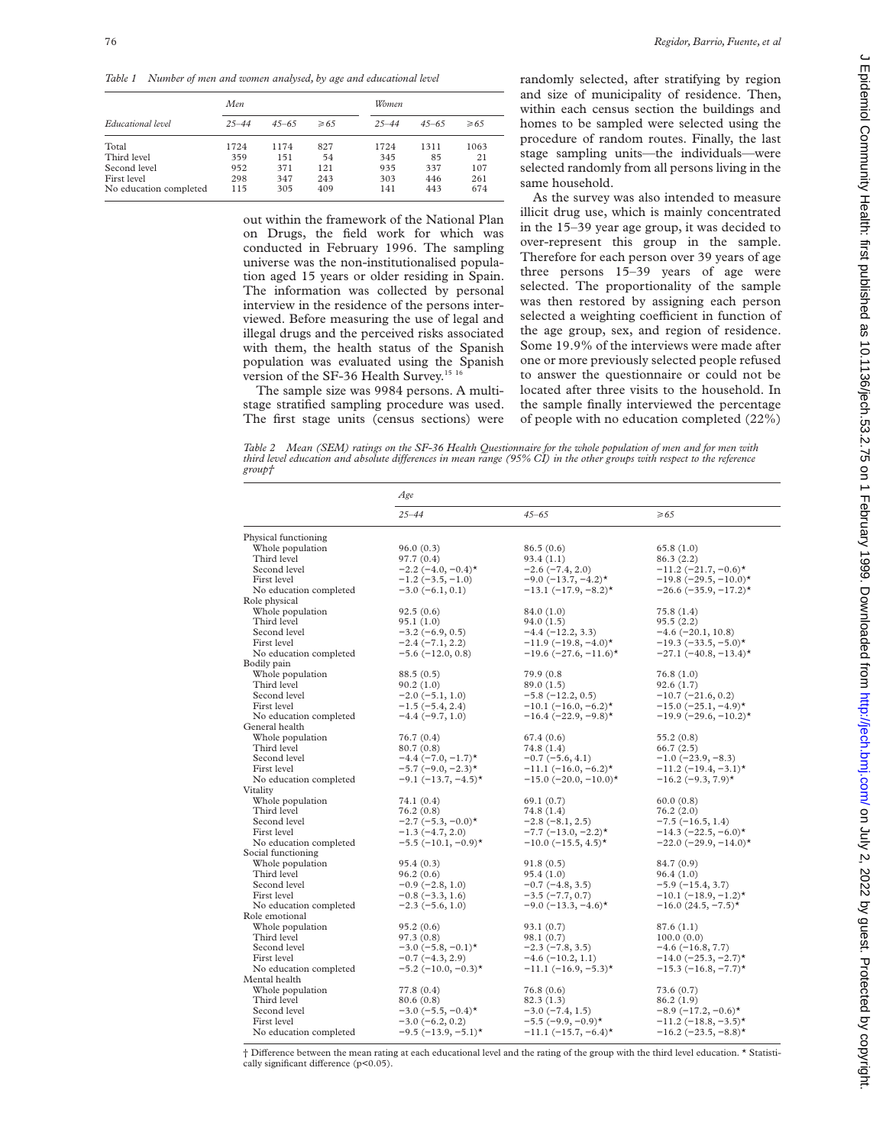*Table 1 Number of men and women analysed, by age and educational level*

| Educational level      | Men       |           |           | Women     |           |           |
|------------------------|-----------|-----------|-----------|-----------|-----------|-----------|
|                        | $25 - 44$ | $45 - 65$ | $\geq 65$ | $25 - 44$ | $45 - 65$ | $\geq 65$ |
| Total                  | 1724      | 1174      | 827       | 1724      | 1311      | 1063      |
| Third level            | 359       | 151       | 54        | 345       | 85        | 21        |
| Second level           | 952       | 371       | 121       | 935       | 337       | 107       |
| First level            | 298       | 347       | 243       | 303       | 446       | 261       |
| No education completed | 115       | 305       | 409       | 141       | 443       | 674       |

out within the framework of the National Plan on Drugs, the field work for which was conducted in February 1996. The sampling universe was the non-institutionalised population aged 15 years or older residing in Spain. The information was collected by personal interview in the residence of the persons interviewed. Before measuring the use of legal and illegal drugs and the perceived risks associated with them, the health status of the Spanish population was evaluated using the Spanish version of the SF-36 Health Survey.<sup>15 16</sup>

The sample size was 9984 persons. A multistage stratified sampling procedure was used. The first stage units (census sections) were randomly selected, after stratifying by region and size of municipality of residence. Then, within each census section the buildings and homes to be sampled were selected using the procedure of random routes. Finally, the last stage sampling units—the individuals—were selected randomly from all persons living in the same household.

As the survey was also intended to measure illicit drug use, which is mainly concentrated in the 15–39 year age group, it was decided to over-represent this group in the sample. Therefore for each person over 39 years of age three persons 15–39 years of age were selected. The proportionality of the sample was then restored by assigning each person selected a weighting coefficient in function of the age group, sex, and region of residence. Some 19.9% of the interviews were made after one or more previously selected people refused to answer the questionnaire or could not be located after three visits to the household. In the sample finally interviewed the percentage of people with no education completed (22%)

*Table 2 Mean (SEM) ratings on the SF-36 Health Questionnaire for the whole population of men and for men with third level education and absolute differences in mean range (95% CI) in the other groups with respect to the reference group†*

|                                 | Age                                    |                                            |                                                 |  |  |
|---------------------------------|----------------------------------------|--------------------------------------------|-------------------------------------------------|--|--|
|                                 | $25 - 44$                              | $45 - 65$                                  | $\geq 65$                                       |  |  |
| Physical functioning            |                                        |                                            |                                                 |  |  |
| Whole population                | 96.0(0.3)                              | 86.5(0.6)                                  | 65.8(1.0)                                       |  |  |
| Third level                     | 97.7 (0.4)                             | 93.4(1.1)                                  | 86.3 (2.2)                                      |  |  |
| Second level                    | $-2.2$ (-4.0, -0.4) <sup>*</sup>       | $-2.6(-7.4, 2.0)$                          | $-11.2$ (-21.7, -0.6)*                          |  |  |
| First level                     | $-1.2$ ( $-3.5, -1.0$ )                | $-9.0$ (-13.7, -4.2)*                      | $-19.8$ (-29.5, -10.0)*                         |  |  |
| No education completed          | $-3.0(-6.1, 0.1)$                      | $-13.1$ (-17.9, -8.2) <sup>*</sup>         | $-26.6$ (-35.9, -17.2)*                         |  |  |
| Role physical                   |                                        |                                            |                                                 |  |  |
| Whole population                | 92.5(0.6)                              | 84.0 (1.0)                                 | 75.8 (1.4)                                      |  |  |
| Third level                     | 95.1(1.0)                              | 94.0(1.5)                                  | 95.5(2.2)                                       |  |  |
| Second level                    | $-3.2(-6.9, 0.5)$                      | $-4.4 (-12.2, 3.3)$                        | $-4.6$ ( $-20.1$ , 10.8)                        |  |  |
| First level                     | $-2.4 (-7.1, 2.2)$                     | $-11.9$ (-19.8, -4.0)*                     | $-19.3$ (-33.5, -5.0)*                          |  |  |
| No education completed          | $-5.6(-12.0, 0.8)$                     | $-19.6$ $(-27.6, -11.6)$ *                 | $-27.1$ $(-40.8, -13.4)$ *                      |  |  |
| Bodily pain                     |                                        |                                            |                                                 |  |  |
| Whole population                | 88.5 (0.5)                             | 79.9 (0.8)                                 | 76.8 (1.0)                                      |  |  |
| Third level                     | 90.2(1.0)                              | 89.0(1.5)                                  | 92.6(1.7)                                       |  |  |
| Second level                    | $-2.0(-5.1, 1.0)$                      | $-5.8(-12.2, 0.5)$                         | $-10.7(-21.6, 0.2)$                             |  |  |
| First level                     | $-1.5(-5.4, 2.4)$                      | $-10.1$ $(-16.0, -6.2)$ *                  | $-15.0$ $(-25.1, -4.9)$ *                       |  |  |
| No education completed          | $-4.4(-9.7, 1.0)$                      | $-16.4$ (-22.9, -9.8)*                     | $-19.9$ (-29.6, -10.2)*                         |  |  |
| General health                  |                                        |                                            |                                                 |  |  |
| Whole population                | 76.7 (0.4)                             | 67.4 (0.6)                                 | 55.2 (0.8)                                      |  |  |
| Third level                     | 80.7(0.8)                              | 74.8 (1.4)                                 | 66.7(2.5)                                       |  |  |
| Second level                    | $-4.4$ $(-7.0, -1.7)$ *                | $-0.7(-5.6, 4.1)$                          | $-1.0$ ( $-23.9, -8.3$ )                        |  |  |
| First level                     | $-5.7$ (-9.0, -2.3)*                   | $-11.1$ $(-16.0, -6.2)$ *                  | $-11.2$ (-19.4, -3.1)*                          |  |  |
| No education completed          | $-9.1$ (-13.7, -4.5)*                  | $-15.0$ $(-20.0, -10.0)$ *                 | $-16.2$ (-9.3, 7.9)*                            |  |  |
| Vitality                        |                                        |                                            |                                                 |  |  |
| Whole population                | 74.1 (0.4)                             | 69.1(0.7)                                  | 60.0(0.8)                                       |  |  |
| Third level                     | 76.2 (0.8)                             | 74.8 (1.4)                                 | 76.2 (2.0)                                      |  |  |
| Second level                    | $-2.7$ (-5.3, -0.0)*                   | $-2.8(-8.1, 2.5)$                          | $-7.5$ ( $-16.5$ , 1.4)                         |  |  |
| First level                     | $-1.3(-4.7, 2.0)$                      | $-7.7$ ( $-13.0, -2.2$ )*                  | $-14.3$ $(-22.5, -6.0)$ *                       |  |  |
| No education completed          | $-5.5$ $(-10.1, -0.9)$ *               | $-10.0$ (-15.5, 4.5)*                      | $-22.0$ $(-29.9, -14.0)$ *                      |  |  |
| Social functioning              |                                        |                                            |                                                 |  |  |
| Whole population<br>Third level | 95.4(0.3)                              | 91.8(0.5)                                  | 84.7 (0.9)                                      |  |  |
| Second level                    | 96.2(0.6)                              | 95.4(1.0)                                  | 96.4(1.0)                                       |  |  |
| First level                     | $-0.9$ ( $-2.8$ , 1.0)                 | $-0.7$ ( $-4.8, 3.5$ )                     | $-5.9(-15.4, 3.7)$<br>$-10.1$ $(-18.9, -1.2)$ * |  |  |
| No education completed          | $-0.8(-3.3, 1.6)$<br>$-2.3(-5.6, 1.0)$ | $-3.5(-7.7, 0.7)$<br>$-9.0$ (-13.3, -4.6)* | $-16.0 (24.5, -7.5)$ *                          |  |  |
| Role emotional                  |                                        |                                            |                                                 |  |  |
| Whole population                | 95.2(0.6)                              | 93.1(0.7)                                  | 87.6(1.1)                                       |  |  |
| Third level                     | 97.3(0.8)                              | 98.1(0.7)                                  | 100.0(0.0)                                      |  |  |
| Second level                    | $-3.0$ ( $-5.8$ , $-0.1$ )*            | $-2.3(-7.8, 3.5)$                          | $-4.6(-16.8, 7.7)$                              |  |  |
| First level                     | $-0.7(-4.3, 2.9)$                      | $-4.6(-10.2, 1.1)$                         | $-14.0$ (-25.3, -2.7)*                          |  |  |
| No education completed          | $-5.2$ (-10.0, -0.3)*                  | $-11.1$ $(-16.9, -5.3)$ *                  | $-15.3$ (-16.8, -7.7)*                          |  |  |
| Mental health                   |                                        |                                            |                                                 |  |  |
| Whole population                | 77.8 (0.4)                             | 76.8(0.6)                                  | 73.6 (0.7)                                      |  |  |
| Third level                     | 80.6 (0.8)                             | 82.3(1.3)                                  | 86.2 (1.9)                                      |  |  |
| Second level                    | $-3.0$ (-5.5, -0.4)*                   | $-3.0(-7.4, 1.5)$                          | $-8.9$ (-17.2, -0.6) <sup>*</sup>               |  |  |
| First level                     | $-3.0(-6.2, 0.2)$                      | $-5.5$ (-9.9, -0.9)*                       | $-11.2$ (-18.8, -3.5)*                          |  |  |
| No education completed          | $-9.5$ ( $-13.9, -5.1$ )*              | $-11.1$ (-15.7, -6.4)*                     | $-16.2$ (-23.5, -8.8)*                          |  |  |

 $\dagger$  Difference between the mean rating at each educational level and the rating of the group with the third level education. \* Statistically significant difference  $(p<0.05)$ .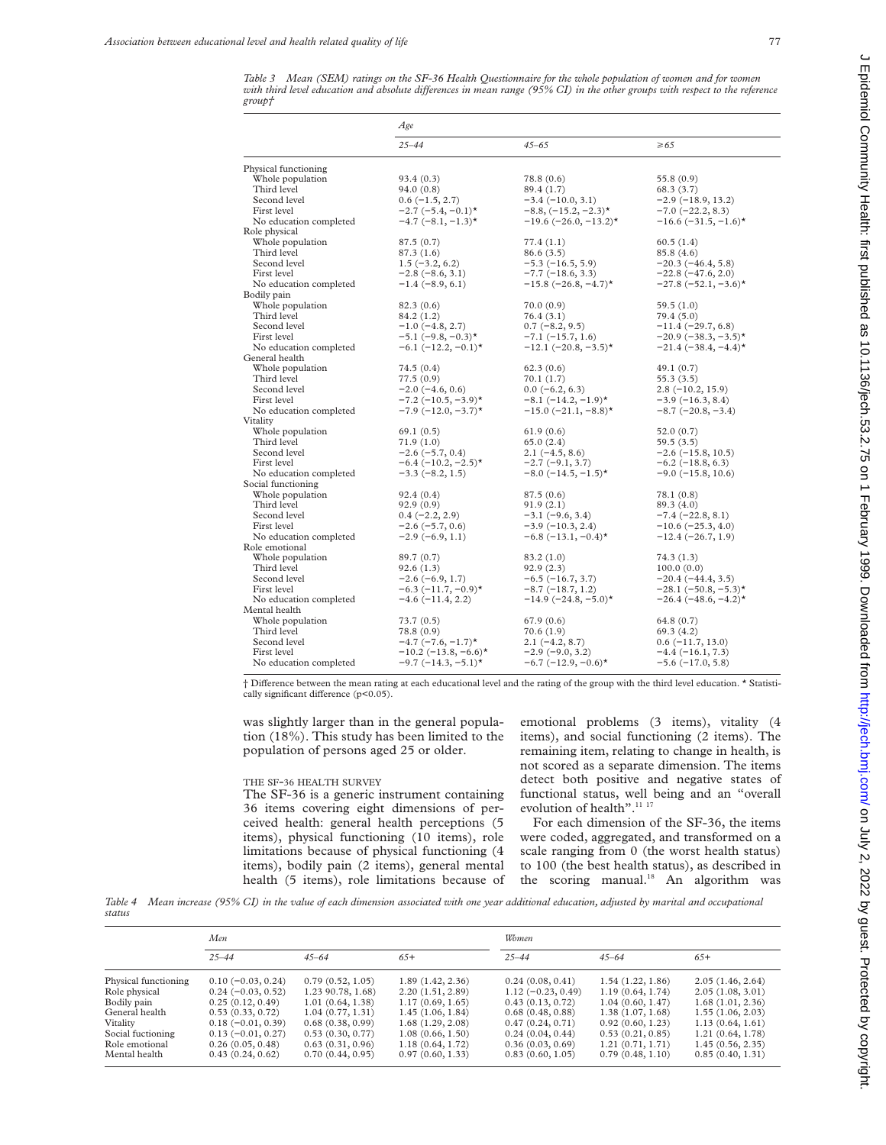*Table 3 Mean (SEM) ratings on the SF-36 Health Questionnaire for the whole population of women and for women with third level education and absolute diVerences in mean range (95% CI) in the other groups with respect to the reference group†*

|                                        | Age                              |                              |                                    |  |  |
|----------------------------------------|----------------------------------|------------------------------|------------------------------------|--|--|
|                                        | $25 - 44$                        | $45 - 65$                    | $\geq 65$                          |  |  |
| Physical functioning                   |                                  |                              |                                    |  |  |
| Whole population                       | 93.4(0.3)                        | 78.8 (0.6)                   | 55.8 (0.9)                         |  |  |
| Third level                            | 94.0 (0.8)                       | 89.4 (1.7)                   | 68.3(3.7)                          |  |  |
| Second level                           | $0.6(-1.5, 2.7)$                 | $-3.4 (-10.0, 3.1)$          | $-2.9(-18.9, 13.2)$                |  |  |
| First level                            | $-2.7$ (-5.4, -0.1) <sup>*</sup> | $-8.8, (-15.2, -2.3)$ *      | $-7.0$ ( $-22.2$ , 8.3)            |  |  |
| No education completed                 | $-4.7$ $(-8.1, -1.3)$ *          | $-19.6$ (-26.0, -13.2)*      | $-16.6$ (-31.5, -1.6)*             |  |  |
| Role physical                          |                                  |                              |                                    |  |  |
| Whole population                       | 87.5(0.7)                        | 77.4 (1.1)                   | 60.5(1.4)                          |  |  |
| Third level                            | 87.3 (1.6)                       | 86.6 (3.5)                   | 85.8 (4.6)                         |  |  |
| Second level                           | $1.5(-3.2, 6.2)$                 | $-5.3(-16.5, 5.9)$           | $-20.3(-46.4, 5.8)$                |  |  |
| First level                            | $-2.8(-8.6, 3.1)$                | $-7.7$ ( $-18.6, 3.3$ )      | $-22.8(-47.6, 2.0)$                |  |  |
| No education completed                 | $-1.4(-8.9, 6.1)$                | $-15.8$ (-26.8, -4.7)*       | $-27.8$ ( $-52.1, -3.6$ )*         |  |  |
| Bodily pain                            |                                  |                              |                                    |  |  |
| Whole population                       | 82.3(0.6)                        | 70.0 (0.9)                   | 59.5 (1.0)                         |  |  |
| Third level                            | 84.2 (1.2)                       | 76.4(3.1)                    | 79.4(5.0)                          |  |  |
| Second level                           | $-1.0$ ( $-4.8$ , 2.7)           | $0.7(-8.2, 9.5)$             | $-11.4 (-29.7, 6.8)$               |  |  |
| First level                            | $-5.1$ (-9.8, -0.3)*             | $-7.1 (-15.7, 1.6)$          | $-20.9$ $(-38.3, -3.5)$ *          |  |  |
| No education completed                 | $-6.1$ $(-12.2, -0.1)$ *         | $-12.1$ $(-20.8, -3.5)$ *    | $-21.4$ (-38.4, -4.4) <sup>*</sup> |  |  |
| General health                         |                                  |                              |                                    |  |  |
| Whole population                       | 74.5 (0.4)                       | 62.3(0.6)                    | 49.1 (0.7)                         |  |  |
| Third level                            | 77.5 (0.9)                       | 70.1 (1.7)                   | 55.3 (3.5)                         |  |  |
| Second level                           | $-2.0$ ( $-4.6, 0.6$ )           | $0.0$ (-6.2, 6.3)            | $2.8(-10.2, 15.9)$                 |  |  |
| First level                            | $-7.2$ ( $-10.5$ , $-3.9$ )*     | $-8.1$ $(-14.2, -1.9)$ *     | $-3.9(-16.3, 8.4)$                 |  |  |
| No education completed                 | $-7.9$ (-12.0, -3.7)*            | $-15.0$ $(-21.1, -8.8)$ *    | $-8.7$ ( $-20.8, -3.4$ )           |  |  |
| Vitality                               |                                  |                              |                                    |  |  |
| Whole population                       | 69.1(0.5)                        | 61.9 (0.6)                   | 52.0 (0.7)                         |  |  |
| Third level                            | 71.9 (1.0)                       | 65.0(2.4)                    | 59.5 (3.5)                         |  |  |
| Second level<br>First level            | $-2.6(-5.7, 0.4)$                | $2.1(-4.5, 8.6)$             | $-2.6$ ( $-15.8$ , 10.5)           |  |  |
|                                        | $-6.4$ (-10.2, -2.5)*            | $-2.7$ $(-9.1, 3.7)$         | $-6.2$ ( $-18.8, 6.3$ )            |  |  |
| No education completed                 | $-3.3(-8.2, 1.5)$                | $-8.0$ ( $-14.5$ , $-1.5$ )* | $-9.0$ ( $-15.8$ , 10.6)           |  |  |
| Social functioning<br>Whole population | 92.4(0.4)                        | 87.5(0.6)                    | 78.1 (0.8)                         |  |  |
| Third level                            | 92.9(0.9)                        | 91.9(2.1)                    | 89.3 (4.0)                         |  |  |
| Second level                           | $0.4 (-2.2, 2.9)$                | $-3.1(-9.6, 3.4)$            | $-7.4(-22.8, 8.1)$                 |  |  |
| First level                            | $-2.6(-5.7, 0.6)$                | $-3.9(-10.3, 2.4)$           | $-10.6$ ( $-25.3, 4.0$ )           |  |  |
| No education completed                 | $-2.9(-6.9, 1.1)$                | $-6.8$ (-13.1, -0.4)*        | $-12.4 (-26.7, 1.9)$               |  |  |
| Role emotional                         |                                  |                              |                                    |  |  |
| Whole population                       | 89.7 (0.7)                       | 83.2 (1.0)                   | 74.3 (1.3)                         |  |  |
| Third level                            | 92.6(1.3)                        | 92.9(2.3)                    | 100.0(0.0)                         |  |  |
| Second level                           | $-2.6(-6.9, 1.7)$                | $-6.5(-16.7, 3.7)$           | $-20.4(-44.4, 3.5)$                |  |  |
| First level                            | $-6.3$ (-11.7, -0.9)*            | $-8.7(-18.7, 1.2)$           | $-28.1$ (-50.8, -5.3)*             |  |  |
| No education completed                 | $-4.6(-11.4, 2.2)$               | $-14.9$ (-24.8, -5.0)*       | $-26.4$ (-48.6, -4.2)*             |  |  |
| Mental health                          |                                  |                              |                                    |  |  |
| Whole population                       | 73.7(0.5)                        | 67.9(0.6)                    | 64.8 (0.7)                         |  |  |
| Third level                            | 78.8 (0.9)                       | 70.6 (1.9)                   | 69.3 (4.2)                         |  |  |
| Second level                           | $-4.7$ (-7.6, -1.7)*             | $2.1(-4.2, 8.7)$             | $0.6$ (-11.7, 13.0)                |  |  |
| First level                            | $-10.2$ (-13.8, -6.6)*           | $-2.9(-9.0, 3.2)$            | $-4.4(-16.1, 7.3)$                 |  |  |
| No education completed                 | $-9.7$ (-14.3, -5.1)*            | $-6.7$ (-12.9, -0.6)*        | $-5.6$ ( $-17.0, 5.8$ )            |  |  |
|                                        |                                  |                              |                                    |  |  |

† DiVerence between the mean rating at each educational level and the rating of the group with the third level education. \* Statistically significant difference  $(p<0.05)$ .

was slightly larger than in the general population (18%). This study has been limited to the population of persons aged 25 or older.

### THE SF-36 HEALTH SURVEY

The SF-36 is a generic instrument containing 36 items covering eight dimensions of perceived health: general health perceptions (5 items), physical functioning (10 items), role limitations because of physical functioning (4 items), bodily pain (2 items), general mental health (5 items), role limitations because of

emotional problems (3 items), vitality (4 items), and social functioning (2 items). The remaining item, relating to change in health, is not scored as a separate dimension. The items detect both positive and negative states of functional status, well being and an "overall evolution of health".<sup>11 17</sup>

For each dimension of the SF-36, the items were coded, aggregated, and transformed on a scale ranging from 0 (the worst health status) to 100 (the best health status), as described in the scoring manual.<sup>18</sup> An algorithm was

*Table 4 Mean increase (95% CI) in the value of each dimension associated with one year additional education, adjusted by marital and occupational status*

|                      | Men                 |                   |                  | Women               |                  |                  |  |
|----------------------|---------------------|-------------------|------------------|---------------------|------------------|------------------|--|
|                      | $25 - 44$           | $45 - 64$         | $65+$            | $25 - 44$           | $45 - 64$        | $65+$            |  |
| Physical functioning | $0.10(-0.03, 0.24)$ | 0.79(0.52, 1.05)  | 1.89(1.42, 2.36) | 0.24(0.08, 0.41)    | 1.54(1.22, 1.86) | 2.05(1.46, 2.64) |  |
| Role physical        | $0.24(-0.03, 0.52)$ | 1.23 90.78, 1.68) | 2.20(1.51, 2.89) | $1.12(-0.23, 0.49)$ | 1.19(0.64, 1.74) | 2.05(1.08, 3.01) |  |
| Bodily pain          | 0.25(0.12, 0.49)    | 1.01(0.64, 1.38)  | 1.17(0.69, 1.65) | 0.43(0.13, 0.72)    | 1.04(0.60, 1.47) | 1.68(1.01, 2.36) |  |
| General health       | 0.53(0.33, 0.72)    | 1.04(0.77, 1.31)  | 1.45(1.06, 1.84) | 0.68(0.48, 0.88)    | 1.38(1.07, 1.68) | 1.55(1.06, 2.03) |  |
| Vitality             | $0.18(-0.01, 0.39)$ | 0.68(0.38, 0.99)  | 1.68(1.29, 2.08) | 0.47(0.24, 0.71)    | 0.92(0.60, 1.23) | 1.13(0.64, 1.61) |  |
| Social fuctioning    | $0.13(-0.01, 0.27)$ | 0.53(0.30, 0.77)  | 1.08(0.66, 1.50) | 0.24(0.04, 0.44)    | 0.53(0.21, 0.85) | 1.21(0.64, 1.78) |  |
| Role emotional       | 0.26(0.05, 0.48)    | 0.63(0.31, 0.96)  | 1.18(0.64, 1.72) | 0.36(0.03, 0.69)    | 1.21(0.71, 1.71) | 1.45(0.56, 2.35) |  |
| Mental health        | 0.43(0.24, 0.62)    | 0.70(0.44, 0.95)  | 0.97(0.60, 1.33) | 0.83(0.60, 1.05)    | 0.79(0.48, 1.10) | 0.85(0.40, 1.31) |  |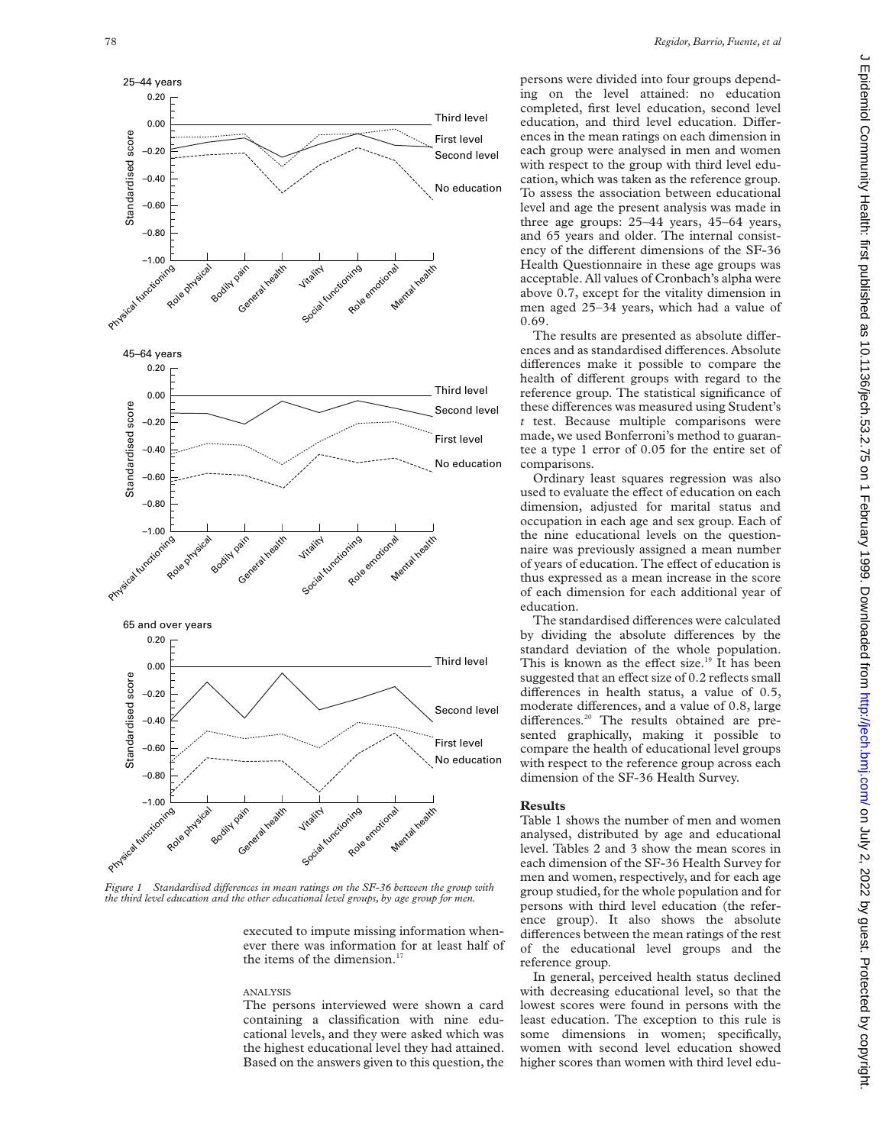

*Figure 1* Standardised differences in mean ratings on the SF-36 between the group with *the third level education and the other educational level groups, by age group for men.*

executed to impute missing information whenever there was information for at least half of the items of the dimension.<sup>17</sup>

## ANALYSIS

The persons interviewed were shown a card containing a classification with nine educational levels, and they were asked which was the highest educational level they had attained. Based on the answers given to this question, the persons were divided into four groups depending on the level attained: no education completed, first level education, second level education, and third level education. Differences in the mean ratings on each dimension in each group were analysed in men and women with respect to the group with third level education, which was taken as the reference group. To assess the association between educational level and age the present analysis was made in three age groups: 25–44 years, 45–64 years, and 65 years and older. The internal consistency of the different dimensions of the SF-36 Health Questionnaire in these age groups was acceptable. All values of Cronbach's alpha were above 0.7, except for the vitality dimension in men aged 25–34 years, which had a value of 0.69.

The results are presented as absolute differences and as standardised differences. Absolute differences make it possible to compare the health of different groups with regard to the reference group. The statistical significance of these differences was measured using Student's *t* test. Because multiple comparisons were made, we used Bonferroni's method to guarantee a type 1 error of 0.05 for the entire set of comparisons.

Ordinary least squares regression was also used to evaluate the effect of education on each dimension, adjusted for marital status and occupation in each age and sex group. Each of the nine educational levels on the questionnaire was previously assigned a mean number of years of education. The effect of education is thus expressed as a mean increase in the score of each dimension for each additional year of education.

The standardised differences were calculated by dividing the absolute differences by the standard deviation of the whole population.<br>This is known as the effect size.<sup>19</sup> It has been suggested that an effect size of 0.2 reflects small differences in health status, a value of 0.5, moderate differences, and a value of 0.8, large differences.<sup>20</sup> The results obtained are presented graphically, making it possible to compare the health of educational level groups with respect to the reference group across each dimension of the SF-36 Health Survey.

### **Results**

Table 1 shows the number of men and women analysed, distributed by age and educational level. Tables 2 and 3 show the mean scores in each dimension of the SF-36 Health Survey for men and women, respectively, and for each age group studied, for the whole population and for persons with third level education (the reference group). It also shows the absolute differences between the mean ratings of the rest of the educational level groups and the reference group.

In general, perceived health status declined with decreasing educational level, so that the lowest scores were found in persons with the least education. The exception to this rule is some dimensions in women; specifically, women with second level education showed higher scores than women with third level edu-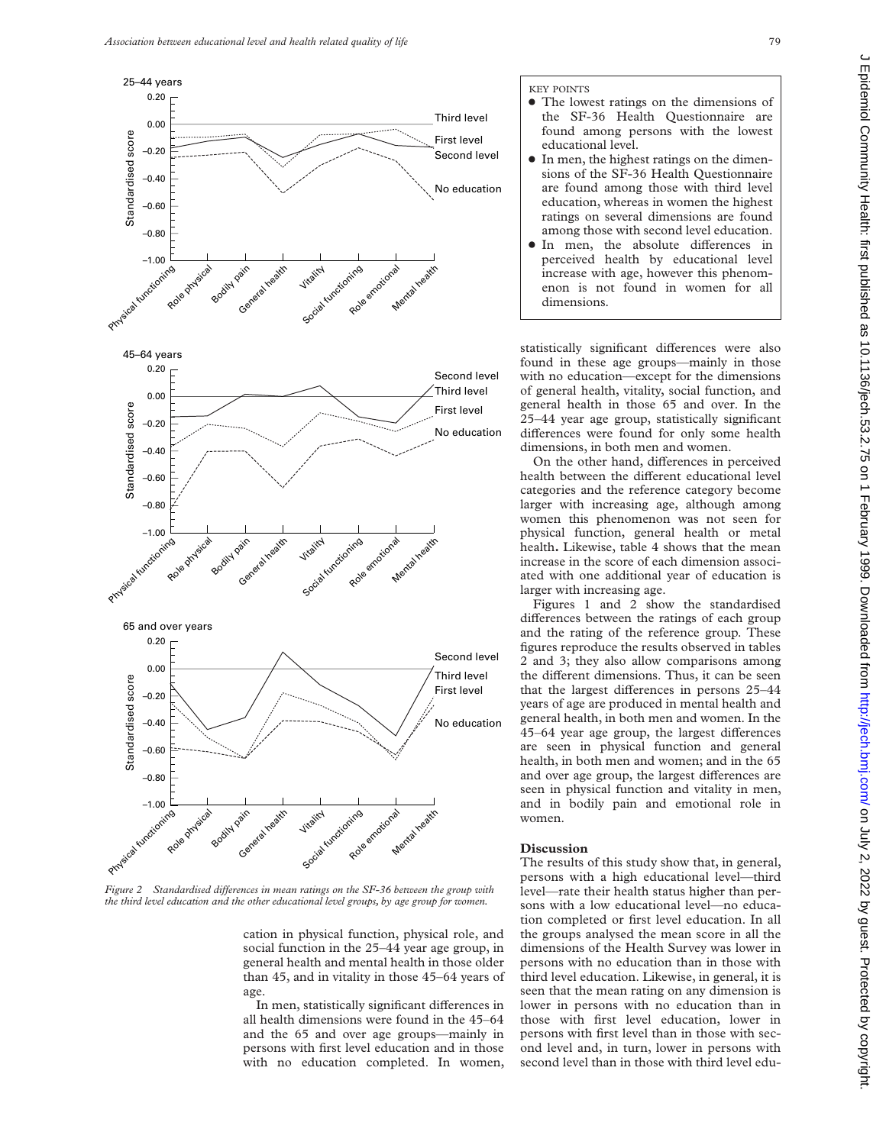

*Figure 2* Standardised differences in mean ratings on the SF-36 between the group with *the third level education and the other educational level groups, by age group for women.*

cation in physical function, physical role, and social function in the 25–44 year age group, in general health and mental health in those older than 45, and in vitality in those 45–64 years of age.

In men, statistically significant differences in all health dimensions were found in the 45–64 and the 65 and over age groups—mainly in persons with first level education and in those with no education completed. In women,

- The lowest ratings on the dimensions of the SF-36 Health Questionnaire are found among persons with the lowest educational level.
- $\bullet$  In men, the highest ratings on the dimensions of the SF-36 Health Questionnaire are found among those with third level education, whereas in women the highest ratings on several dimensions are found among those with second level education.
- · In men, the absolute differences in perceived health by educational level increase with age, however this phenomenon is not found in women for all dimensions.

statistically significant differences were also found in these age groups—mainly in those with no education—except for the dimensions of general health, vitality, social function, and general health in those 65 and over. In the 25–44 year age group, statistically significant differences were found for only some health dimensions, in both men and women.

On the other hand, differences in perceived health between the different educational level categories and the reference category become larger with increasing age, although among women this phenomenon was not seen for physical function, general health or metal health**.** Likewise, table 4 shows that the mean increase in the score of each dimension associated with one additional year of education is larger with increasing age.

Figures 1 and 2 show the standardised differences between the ratings of each group and the rating of the reference group. These figures reproduce the results observed in tables 2 and 3; they also allow comparisons among the different dimensions. Thus, it can be seen that the largest differences in persons 25-44 years of age are produced in mental health and general health, in both men and women. In the 45–64 year age group, the largest differences are seen in physical function and general health, in both men and women; and in the 65 and over age group, the largest differences are seen in physical function and vitality in men, and in bodily pain and emotional role in women.

## **Discussion**

The results of this study show that, in general, persons with a high educational level—third level—rate their health status higher than persons with a low educational level—no education completed or first level education. In all the groups analysed the mean score in all the dimensions of the Health Survey was lower in persons with no education than in those with third level education. Likewise, in general, it is seen that the mean rating on any dimension is lower in persons with no education than in those with first level education, lower in persons with first level than in those with second level and, in turn, lower in persons with second level than in those with third level edu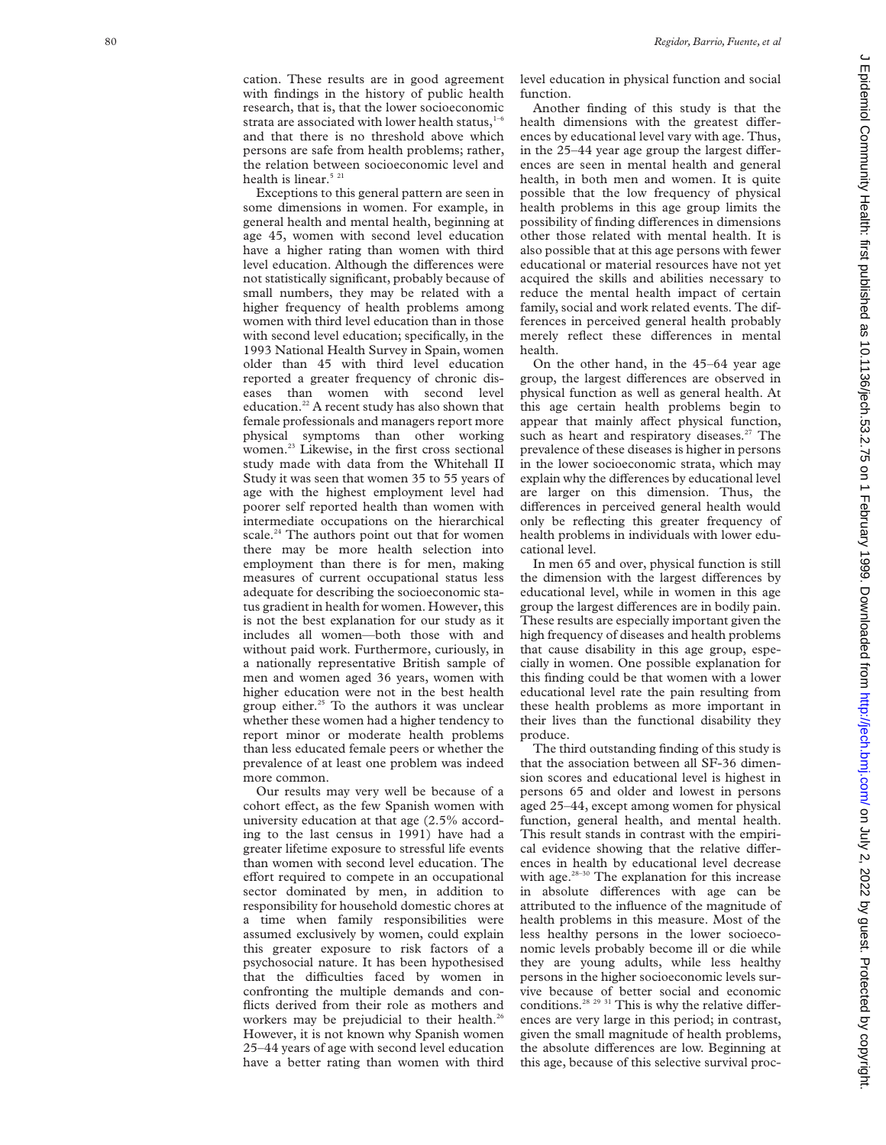cation. These results are in good agreement with findings in the history of public health research, that is, that the lower socioeconomic strata are associated with lower health status, $1-6$ and that there is no threshold above which persons are safe from health problems; rather, the relation between socioeconomic level and health is linear.<sup>5 21</sup>

Exceptions to this general pattern are seen in some dimensions in women. For example, in general health and mental health, beginning at age 45, women with second level education have a higher rating than women with third level education. Although the differences were not statistically significant, probably because of small numbers, they may be related with a higher frequency of health problems among women with third level education than in those with second level education; specifically, in the 1993 National Health Survey in Spain, women older than 45 with third level education reported a greater frequency of chronic diseases than women with second level education.<sup>22</sup> A recent study has also shown that female professionals and managers report more physical symptoms than other working women.<sup>23</sup> Likewise, in the first cross sectional study made with data from the Whitehall II Study it was seen that women 35 to 55 years of age with the highest employment level had poorer self reported health than women with intermediate occupations on the hierarchical scale.<sup>24</sup> The authors point out that for women there may be more health selection into employment than there is for men, making measures of current occupational status less adequate for describing the socioeconomic status gradient in health for women. However, this is not the best explanation for our study as it includes all women—both those with and without paid work. Furthermore, curiously, in a nationally representative British sample of men and women aged 36 years, women with higher education were not in the best health group either.<sup>25</sup> To the authors it was unclear whether these women had a higher tendency to report minor or moderate health problems than less educated female peers or whether the prevalence of at least one problem was indeed more common.

Our results may very well be because of a cohort effect, as the few Spanish women with university education at that age (2.5% according to the last census in 1991) have had a greater lifetime exposure to stressful life events than women with second level education. The effort required to compete in an occupational sector dominated by men, in addition to responsibility for household domestic chores at a time when family responsibilities were assumed exclusively by women, could explain this greater exposure to risk factors of a psychosocial nature. It has been hypothesised that the difficulties faced by women in confronting the multiple demands and conflicts derived from their role as mothers and workers may be prejudicial to their health.<sup>26</sup> However, it is not known why Spanish women 25–44 years of age with second level education have a better rating than women with third

level education in physical function and social function.

Another finding of this study is that the health dimensions with the greatest differences by educational level vary with age. Thus, in the  $25-44$  year age group the largest differences are seen in mental health and general health, in both men and women. It is quite possible that the low frequency of physical health problems in this age group limits the possibility of finding differences in dimensions other those related with mental health. It is also possible that at this age persons with fewer educational or material resources have not yet acquired the skills and abilities necessary to reduce the mental health impact of certain family, social and work related events. The differences in perceived general health probably merely reflect these differences in mental health.

On the other hand, in the 45–64 year age group, the largest differences are observed in physical function as well as general health. At this age certain health problems begin to appear that mainly affect physical function, such as heart and respiratory diseases.<sup>27</sup> The prevalence of these diseases is higher in persons in the lower socioeconomic strata, which may explain why the differences by educational level are larger on this dimension. Thus, the differences in perceived general health would only be reflecting this greater frequency of health problems in individuals with lower educational level.

In men 65 and over, physical function is still the dimension with the largest differences by educational level, while in women in this age group the largest differences are in bodily pain. These results are especially important given the high frequency of diseases and health problems that cause disability in this age group, especially in women. One possible explanation for this finding could be that women with a lower educational level rate the pain resulting from these health problems as more important in their lives than the functional disability they produce.

The third outstanding finding of this study is that the association between all SF-36 dimension scores and educational level is highest in persons 65 and older and lowest in persons aged 25–44, except among women for physical function, general health, and mental health. This result stands in contrast with the empirical evidence showing that the relative differences in health by educational level decrease with age.<sup>28-30</sup> The explanation for this increase in absolute differences with age can be attributed to the influence of the magnitude of health problems in this measure. Most of the less healthy persons in the lower socioeconomic levels probably become ill or die while they are young adults, while less healthy persons in the higher socioeconomic levels survive because of better social and economic conditions.<sup>28 29 31</sup> This is why the relative differences are very large in this period; in contrast, given the small magnitude of health problems, the absolute differences are low. Beginning at this age, because of this selective survival proc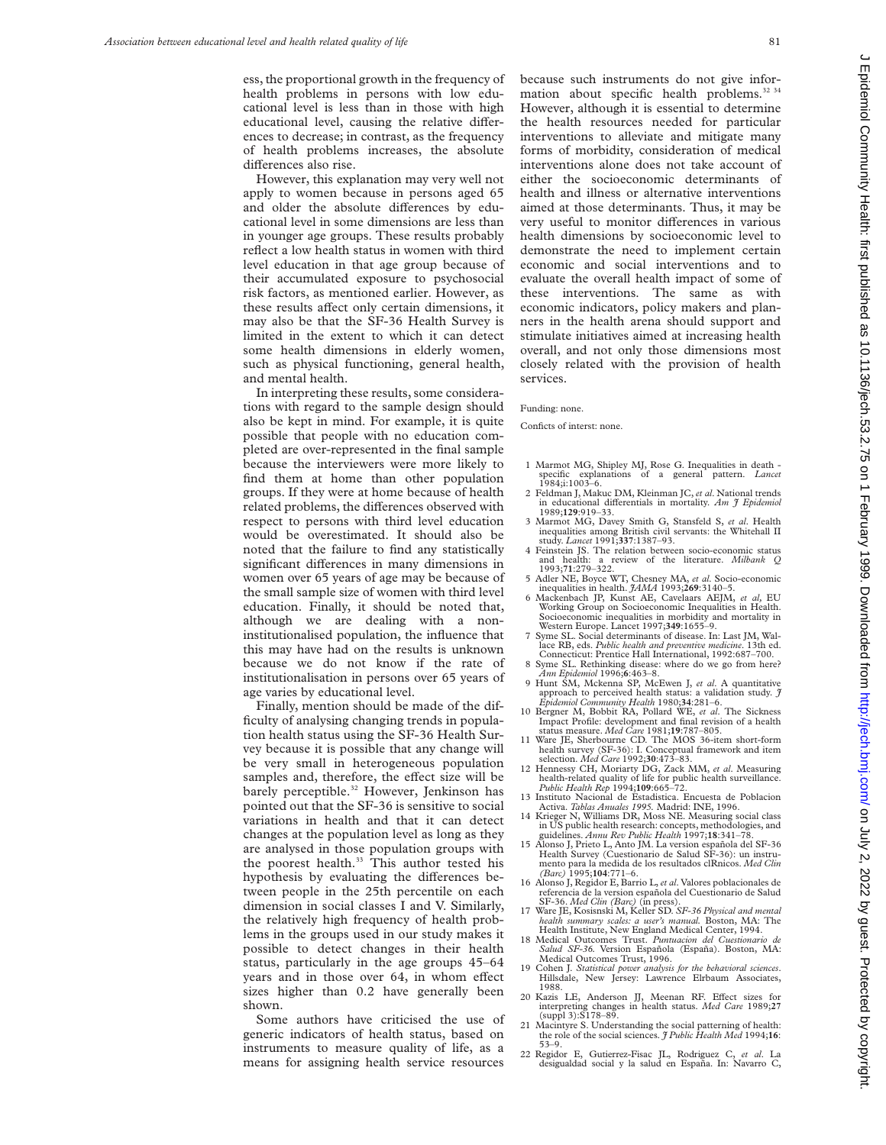ess, the proportional growth in the frequency of health problems in persons with low educational level is less than in those with high educational level, causing the relative differences to decrease; in contrast, as the frequency of health problems increases, the absolute differences also rise.

However, this explanation may very well not apply to women because in persons aged 65 and older the absolute differences by educational level in some dimensions are less than in younger age groups. These results probably reflect a low health status in women with third level education in that age group because of their accumulated exposure to psychosocial risk factors, as mentioned earlier. However, as these results affect only certain dimensions, it may also be that the SF-36 Health Survey is limited in the extent to which it can detect some health dimensions in elderly women, such as physical functioning, general health, and mental health.

In interpreting these results, some considerations with regard to the sample design should also be kept in mind. For example, it is quite possible that people with no education completed are over-represented in the final sample because the interviewers were more likely to find them at home than other population groups. If they were at home because of health related problems, the differences observed with respect to persons with third level education would be overestimated. It should also be noted that the failure to find any statistically significant differences in many dimensions in women over 65 years of age may be because of the small sample size of women with third level education. Finally, it should be noted that, although we are dealing with a noninstitutionalised population, the influence that this may have had on the results is unknown because we do not know if the rate of institutionalisation in persons over 65 years of age varies by educational level.

Finally, mention should be made of the difficulty of analysing changing trends in population health status using the SF-36 Health Survey because it is possible that any change will be very small in heterogeneous population samples and, therefore, the effect size will be barely perceptible.<sup>32</sup> However, Jenkinson has pointed out that the SF-36 is sensitive to social variations in health and that it can detect changes at the population level as long as they are analysed in those population groups with the poorest health.<sup>33</sup> This author tested his hypothesis by evaluating the differences between people in the 25th percentile on each dimension in social classes I and V. Similarly, the relatively high frequency of health problems in the groups used in our study makes it possible to detect changes in their health status, particularly in the age groups 45–64 years and in those over 64, in whom effect sizes higher than 0.2 have generally been shown.

Some authors have criticised the use of generic indicators of health status, based on instruments to measure quality of life, as a means for assigning health service resources

because such instruments do not give information about specific health problems.<sup>32 3</sup> However, although it is essential to determine the health resources needed for particular interventions to alleviate and mitigate many forms of morbidity, consideration of medical interventions alone does not take account of either the socioeconomic determinants of health and illness or alternative interventions aimed at those determinants. Thus, it may be very useful to monitor differences in various health dimensions by socioeconomic level to demonstrate the need to implement certain economic and social interventions and to evaluate the overall health impact of some of these interventions. The same as with economic indicators, policy makers and planners in the health arena should support and stimulate initiatives aimed at increasing health overall, and not only those dimensions most closely related with the provision of health services.

### Funding: none.

Conficts of interst: none.

- 1 Marmot MG, Shipley MJ, Rose G. Inequalities in death -<br>specific explanations of a general pattern. *Lancet* explanations of a general pattern. *Lancet* 1984;i:1003–6.
- 2 Feldman J, Makuc DM, Kleinman JC, *et al*. National trends in educational differentials in mortality. *Am J Epidemiol* 1989;129:919-33.
- 3 Marmot MG, Davey Smith G, Stansfeld S, *et al*. Health inequalities among British civil servants: the Whitehall II
- study. *Lancet* 1991;**337**:1387–93. 4 Feinstein JS. The relation between socio-economic status and health: a review of the literature. *Milbank Q* 1993;**71**:279–322.
- 5 Adler NE, Boyce WT, Chesney MA, *et al*. Socio-economic inequalities in health. *JAMA* 1993;**269**:3140–5.
- 6 Mackenbach JP, Kunst AE, Cavelaars AEJM, *et al,* EU Working Group on Socioeconomic Inequalities in Health. Socioeconomic inequalities in morbidity and mortality in
- Western Europe. Lancet 1997;**349**:1655–9. 7 Syme SL. Social determinants of disease. In: Last JM, Wal-lace RB, eds. *Public health and preventive medicine*. 13th ed. Connecticut: Prentice Hall International, 1992:687–700.
- 8 Syme SL. Rethinking disease: where do we go from here? *Ann Epidemiol* 1996;**6**:463–8. 9 Hunt SM, Mckenna SP, McEwen J, *et al*. A quantitative
- approach to perceived health status: a validation study. *J*
- *Epidemiol Community Health* 1980;**34**:281–6. 10 Bergner M, Bobbit RA, Pollard WE, *et al*. The Sickness Impact Profile: development and final revision of a health<br>status measure. Med Care 1981;19:787-805.
- status measure. *Med Care* 1981;**19**:787–805. 11 Ware JE, Sherbourne CD. The MOS 36-item short-form health survey (SF-36): I. Conceptual framework and item selection. *Med Care* 1992;**30**:473–83.
- 12 Hennessy CH, Moriarty DG, Zack MM, *et al*. Measuring health-related quality of life for public health surveillance. *Public Health Rep* 1994;**109**:665–72.
- 13 Instituto Nacional de Estadistica. Encuesta de Poblacion Activa. *Tablas Anuales 1995.* Madrid: INE, 1996.
- 14 Krieger N, Williams DR, Moss NE. Measuring social class in US public health research: concepts, methodologies, and guidelines. *Annu Rev Public Health* 1997;**18**:341–78.
- 15 Alonso J, Prieto L, Anto JM. La version española del SF-36 Health Survey (Cuestionario de Salud SF-36): un instrumento para la medida de los resultados clRnicos. *Med Clin (Barc)* 1995;**104**:771–6.
- 16 Alonso J, Regidor E, Barrio L,*et al*. Valores poblacionales de referencia de la version española del Cuestionario de Salud
- SF-36. *Med Clin (Barc)* (in press). 17 Ware JE, Kosisnski M, Keller SD. *SF-36 Physical and mental health summary scales: a user's manual.* Boston, MA: The Health Institute, New England Medical Center, 1994.
- 18 Medical Outcomes Trust. *Puntuacion del Cuestionario de Salud SF-36.* Version Española (España). Boston, MA: Medical Outcomes Trust, 1996.
- 19 Cohen J. *Statistical power analysis for the behavioral sciences*. Hillsdale, New Jersey: Lawrence Elrbaum Associates, 1988.
- 20 Kazis LE, Anderson JJ, Meenan RF. Effect sizes for interpreting changes in health status. *Med Care* 1989;**27**  $(suppl 3):S178-89.$
- 21 Macintyre S. Understanding the social patterning of health: the role of the social sciences. *J Public Health Med* 1994;**16**: 53–9.
- 22 Regidor E, Gutierrez-Fisac JL, Rodriguez C, *et al*. La desigualdad social y la salud en España. In: Navarro C,